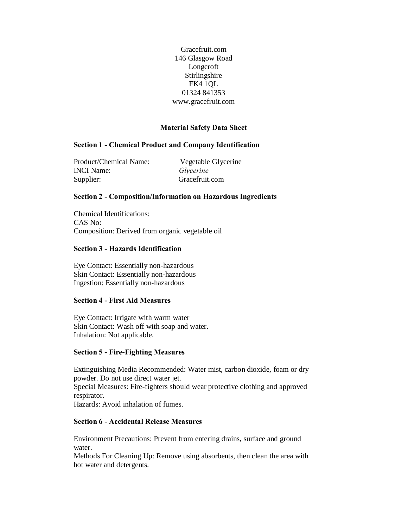Gracefruit.com 146 Glasgow Road Longcroft Stirlingshire FK4 1QL 01324 841353 www.gracefruit.com

### **Material Safety Data Sheet**

### **Section 1 - Chemical Product and Company Identification**

Product/Chemical Name: Vegetable Glycerine INCI Name: *Glycerine* Supplier: Gracefruit.com

# **Section 2 - Composition/Information on Hazardous Ingredients**

Chemical Identifications: CAS No: Composition: Derived from organic vegetable oil

#### **Section 3 - Hazards Identification**

Eye Contact: Essentially non-hazardous Skin Contact: Essentially non-hazardous Ingestion: Essentially non-hazardous

### **Section 4 - First Aid Measures**

Eye Contact: Irrigate with warm water Skin Contact: Wash off with soap and water. Inhalation: Not applicable.

### **Section 5 - Fire-Fighting Measures**

Extinguishing Media Recommended: Water mist, carbon dioxide, foam or dry powder. Do not use direct water jet. Special Measures: Fire-fighters should wear protective clothing and approved respirator. Hazards: Avoid inhalation of fumes.

### **Section 6 - Accidental Release Measures**

Environment Precautions: Prevent from entering drains, surface and ground water.

Methods For Cleaning Up: Remove using absorbents, then clean the area with hot water and detergents.